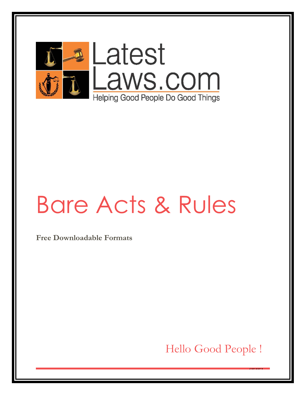

# Bare Acts & Rules

**Free Downloadable Formats** 

Hello Good People !

<u>courner</u>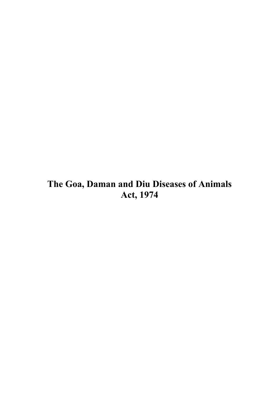# **The Goa, Daman and Diu Diseases of Animals Act, 1974**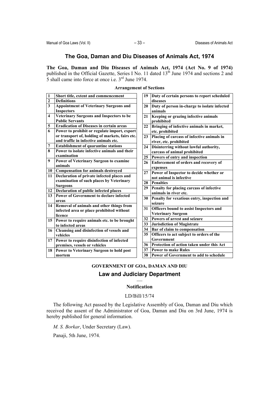# **The Goa, Daman and Diu Diseases of Animals Act, 1974**

**The Goa, Daman and Diu Diseases of Animals Act, 1974 (Act No. 9 of 1974)** published in the Official Gazette, Series I No. 11 dated  $13<sup>th</sup>$  June 1974 and sections 2 and  $\overline{5}$  shall came into force at once i.e.  $3<sup>rd</sup>$  June 1974.

| $\mathbf{1}$            | Short title, extent and commencement                               | 19 | Duty of certain persons to report scheduled               |
|-------------------------|--------------------------------------------------------------------|----|-----------------------------------------------------------|
| $\boldsymbol{2}$        | <b>Definitions</b>                                                 |    | diseases                                                  |
| $\overline{\mathbf{3}}$ | <b>Appointment of Veterinary Surgeons and</b><br><b>Inspectors</b> | 20 | Duty of person in-charge to isolate infected<br>animals   |
| $\overline{\mathbf{4}}$ | Veterinary Surgeons and Inspectors to be<br><b>Public Servants</b> | 21 | <b>Keeping or grazing infective animals</b><br>prohibited |
| 5                       | <b>Eradication of Diseases in certain areas</b>                    | 22 | Bringing of infective animals in market,                  |
| 6                       | Power to prohibit or regulate import, export                       |    | etc. prohibited                                           |
|                         | or transport of, holding of markets, fairs etc.                    | 23 | Placing of carcass of infective animals in                |
|                         | and traffic in infective animals etc.                              |    | river, etc. prohibited                                    |
| 7                       | <b>Establishment of quarantine stations</b>                        | 24 | Disinterring without lawful authority,                    |
| 8                       | Power to isolate infective animals and their                       |    | carcass of animal prohibited                              |
|                         | examination                                                        | 25 | Powers of entry and inspection                            |
| 9                       | Power of Veterinary Surgeon to examine                             | 26 | Enforcement of orders and recovery of                     |
|                         | animals                                                            |    | expenses                                                  |
| 10                      | <b>Compensation for animals destroyed</b>                          | 27 | Power of Inspector to decide whether or                   |
| 11                      | Declaration of private infected places and                         |    | not animal is infective                                   |
|                         | examination of such places by Veterinary                           | 28 | Penalties                                                 |
|                         | <b>Surgeons</b>                                                    | 29 | Penalty for placing carcass of infective                  |
| 12                      | Declaration of public infected places                              |    | animals in river etc.                                     |
| 13                      | <b>Power of Government to declare infected</b>                     | 30 | Penalty for vexatious entry, inspection and               |
|                         | areas                                                              |    | seizure                                                   |
| 14                      | Removal of animals and other things from                           | 31 | Officers bound to assist Inspectors and                   |
|                         | infected area or place prohibited without                          |    | <b>Veterinary Surgeon</b>                                 |
|                         | licence                                                            | 32 | Powers of arrest and seizure                              |
| 15                      | Power to require animals etc. to be brought<br>to infected areas   | 33 | Jurisdiction of Magistrate                                |
| 16                      |                                                                    | 34 | Bar of claim to compensation                              |
|                         | Cleansing and disinfection of vessels and<br>vehicles              | 35 | Officers to act subject to orders of the                  |
| 17                      | Power to require disinfection of infected                          |    | Government                                                |
|                         | premises, vessels or vehicles                                      | 36 | Protection of action taken under this Act                 |
| 18                      | Power to Veterinary Surgeon to hold post                           | 37 | <b>Power to make Rules</b>                                |
|                         | mortem                                                             | 38 | Power of Government to add to schedule                    |
|                         |                                                                    |    |                                                           |

## **Arrangement of Sections**

# **GOVERNMENT OF GOA, DAMAN AND DIU**

# **Law and Judiciary Department**

## — **Notification**

#### LD/Bill/15/74

The following Act passed by the Legislative Assembly of Goa, Daman and Diu which received the assent of the Administrator of Goa, Daman and Diu on 3rd June, 1974 is hereby published for general information.

*M. S. Borkar*, Under Secretary (Law).

Panaji, 5th June, 1974.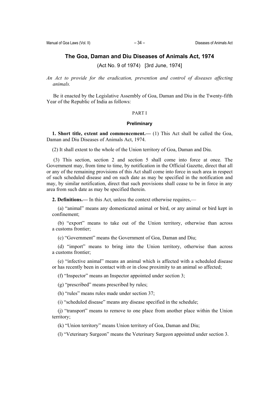# **The Goa, Daman and Diu Diseases of Animals Act, 1974**

(Act No. 9 of 1974) [3rd June, 1974]

*An Act to provide for the eradication, prevention and control of diseases affecting animals.* 

Be it enacted by the Legislative Assembly of Goa, Daman and Diu in the Twenty-fifth Year of the Republic of India as follows:

#### PART I

#### **Preliminary**

**1. Short title, extent and commencement.—** (1) This Act shall be called the Goa, Daman and Diu Diseases of Animals Act, 1974.

(2) It shall extent to the whole of the Union territory of Goa, Daman and Diu.

 (3) This section, section 2 and section 5 shall come into force at once. The Government may, from time to time, by notification in the Official Gazette, direct that all or any of the remaining provisions of this Act shall come into force in such area in respect of such scheduled disease and on such date as may be specified in the notification and may, by similar notification, direct that such provisions shall cease to be in force in any area from such date as may be specified therein.

**2. Definitions.—** In this Act, unless the context otherwise requires.—

(a) "animal" means any domesticated animal or bird, or any animal or bird kept in confinement;

(b) "export" means to take out of the Union territory, otherwise than across a customs frontier;

(c) "Government" means the Government of Goa, Daman and Diu;

(d) "import" means to bring into the Union territory, otherwise than across a customs frontier;

(e) "infective animal" means an animal which is affected with a scheduled disease or has recently been in contact with or in close proximity to an animal so affected;

(f) "Inspector" means an Inspector appointed under section 3;

(g) "prescribed" means prescribed by rules;

(h) "rules" means rules made under section 37;

(i) "scheduled disease" means any disease specified in the schedule;

(j) "transport" means to remove to one place from another place within the Union territory;

(k) "Union territory" means Union territory of Goa, Daman and Diu;

(l) "Veterinary Surgeon" means the Veterinary Surgeon appointed under section 3.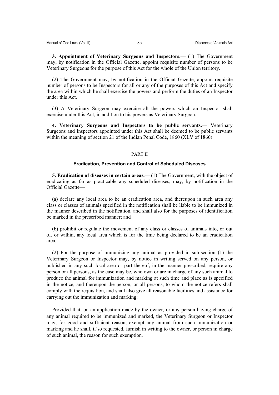**3. Appointment of Veterinary Surgeons and Inspectors.—** (1) The Government may, by notification in the Official Gazette, appoint requisite number of persons to be Veterinary Surgeons for the purpose of this Act for the whole of the Union territory.

(2) The Government may, by notification in the Official Gazette, appoint requisite number of persons to be Inspectors for all or any of the purposes of this Act and specify the area within which he shall exercise the powers and perform the duties of an Inspector under this Act.

(3) A Veterinary Surgeon may exercise all the powers which an Inspector shall exercise under this Act, in addition to his powers as Veterinary Surgeon.

**4. Veterinary Surgeons and Inspectors to be public servants.—** Veterinary Surgeons and Inspectors appointed under this Act shall be deemed to be public servants within the meaning of section 21 of the Indian Penal Code, 1860 (XLV of 1860).

#### PART II

#### **Eradication, Prevention and Control of Scheduled Diseases**

**5. Eradication of diseases in certain areas.—** (1) The Government, with the object of eradicating as far as practicable any scheduled diseases, may, by notification in the Official Gazette—

(a) declare any local area to be an eradication area, and thereupon in such area any class or classes of animals specified in the notification shall be liable to be immunized in the manner described in the notification, and shall also for the purposes of identification be marked in the prescribed manner; and

(b) prohibit or regulate the movement of any class or classes of animals into, or out of, or within, any local area which is for the time being declared to be an eradication area.

(2) For the purpose of immunizing any animal as provided in sub-section (1) the Veterinary Surgeon or Inspector may, by notice in writing served on any person, or published in any such local area or part thereof, in the manner prescribed, require any person or all persons, as the case may be, who own or are in charge of any such animal to produce the animal for immunization and marking at such time and place as is specified in the notice, and thereupon the person, or all persons, to whom the notice refers shall comply with the requisition, and shall also give all reasonable facilities and assistance for carrying out the immunization and marking:

Provided that, on an application made by the owner, or any person having charge of any animal required to be immunized and marked, the Veterinary Surgeon or Inspector may, for good and sufficient reason, exempt any animal from such immunization or marking and he shall, if so requested, furnish in writing to the owner, or person in charge of such animal, the reason for such exemption.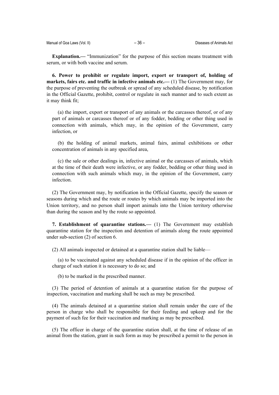**Explanation.—** "Immunization" for the purpose of this section means treatment with serum, or with both vaccine and serum.

**6. Power to prohibit or regulate import, export or transport of, holding of markets, fairs etc. and traffic in infective animals etc.—** (1) The Government may, for the purpose of preventing the outbreak or spread of any scheduled disease, by notification in the Official Gazette, prohibit, control or regulate in such manner and to such extent as it may think fit;

(a) the import, export or transport of any animals or the carcasses thereof, or of any part of animals or carcasses thereof or of any fodder, bedding or other thing used in connection with animals, which may, in the opinion of the Government, carry infection, or

(b) the holding of animal markets, animal fairs, animal exhibitions or other concentration of animals in any specified area,

(c) the sale or other dealings in, infective animal or the carcasses of animals, which at the time of their death were infective, or any fodder, bedding or other thing used in connection with such animals which may, in the opinion of the Government, carry infection.

(2) The Government may, by notification in the Official Gazette, specify the season or seasons during which and the route or routes by which animals may be imported into the Union territory, and no person shall import animals into the Union territory otherwise than during the season and by the route so appointed.

**7. Establishment of quarantine stations.—** (1) The Government may establish quarantine station for the inspection and detention of animals along the route appointed under sub-section (2) of section 6.

(2) All animals inspected or detained at a quarantine station shall be liable—

(a) to be vaccinated against any scheduled disease if in the opinion of the officer in charge of such station it is necessary to do so; and

(b) to be marked in the prescribed manner.

(3) The period of detention of animals at a quarantine station for the purpose of inspection, vaccination and marking shall be such as may be prescribed.

(4) The animals detained at a quarantine station shall remain under the care of the person in charge who shall be responsible for their feeding and upkeep and for the payment of such fee for their vaccination and marking as may be prescribed.

(5) The officer in charge of the quarantine station shall, at the time of release of an animal from the station, grant in such form as may be prescribed a permit to the person in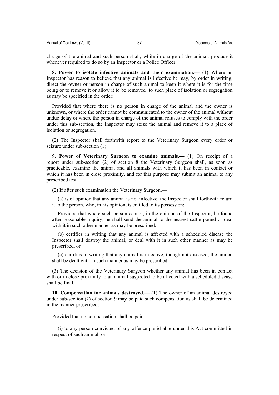charge of the animal and such person shall, while in charge of the animal, produce it whenever required to do so by an Inspector or a Police Officer.

**8. Power to isolate infective animals and their examination.—** (1) Where an Inspector has reason to believe that any animal is infective he may, by order in writing, direct the owner or person in charge of such animal to keep it where it is for the time being or to remove it or allow it to be removed to such place of isolation or segregation as may be specified in the order:

Provided that where there is no person in charge of the animal and the owner is unknown, or where the order cannot be communicated to the owner of the animal without undue delay or where the person in charge of the animal refuses to comply with the order under this sub-section, the Inspector may seize the animal and remove it to a place of isolation or segregation.

(2) The Inspector shall forthwith report to the Veterinary Surgeon every order or seizure under sub-section (1).

**9. Power of Veterinary Surgeon to examine animals.—** (1) On receipt of a report under sub-section (2) of section 8 the Veterinary Surgeon shall, as soon as practicable, examine the animal and all animals with which it has been in contact or which it has been in close proximity, and for this purpose may submit an animal to any prescribed test.

(2) If after such examination the Veterinary Surgeon,—

(a) is of opinion that any animal is not infective, the Inspector shall forthwith return it to the person, who, in his opinion, is entitled to its possession:

Provided that where such person cannot, in the opinion of the Inspector, be found after reasonable inquiry, he shall send the animal to the nearest cattle pound or deal with it in such other manner as may be prescribed.

(b) certifies in writing that any animal is affected with a scheduled disease the Inspector shall destroy the animal, or deal with it in such other manner as may be prescribed, or

(c) certifies in writing that any animal is infective, though not diseased, the animal shall be dealt with in such manner as may be prescribed.

(3) The decision of the Veterinary Surgeon whether any animal has been in contact with or in close proximity to an animal suspected to be affected with a scheduled disease shall be final.

**10. Compensation for animals destroyed.—** (1) The owner of an animal destroyed under sub-section (2) of section 9 may be paid such compensation as shall be determined in the manner prescribed:

Provided that no compensation shall be paid —

(i) to any person convicted of any offence punishable under this Act committed in respect of such animal; or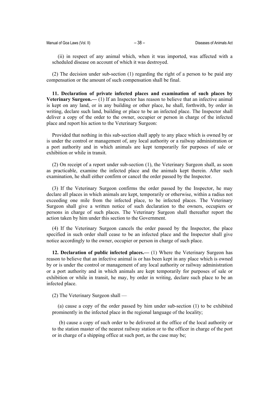(ii) in respect of any animal which, when it was imported, was affected with a scheduled disease on account of which it was destroyed.

(2) The decision under sub-section (1) regarding the right of a person to be paid any compensation or the amount of such compensation shall be final.

**11. Declaration of private infected places and examination of such places by Veterinary Surgeon.—** (1) If an Inspector has reason to believe that an infective animal is kept on any land, or in any building or other place, he shall, forthwith, by order in writing, declare such land, building or place to be an infected place. The Inspector shall deliver a copy of the order to the owner, occupier or person in charge of the infected place and report his action to the Veterinary Surgeon:

Provided that nothing in this sub-section shall apply to any place which is owned by or is under the control or management of, any local authority or a railway administration or a port authority and in which animals are kept temporarily for purposes of sale or exhibition or while in transit.

(2) On receipt of a report under sub-section (1), the Veterinary Surgeon shall, as soon as practicable, examine the infected place and the animals kept therein. After such examination, he shall either confirm or cancel the order passed by the Inspector.

(3) If the Veterinary Surgeon confirms the order passed by the Inspector, he may declare all places in which animals are kept, temporarily or otherwise, within a radius not exceeding one mile from the infected place, to be infected places. The Veterinary Surgeon shall give a written notice of such declaration to the owners, occupiers or persons in charge of such places. The Veterinary Surgeon shall thereafter report the action taken by him under this section to the Government.

(4) If the Veterinary Surgeon cancels the order passed by the Inspector, the place specified in such order shall cease to be an infected place and the Inspector shall give notice accordingly to the owner, occupier or person in charge of such place.

**12. Declaration of public infected places.—** (1) Where the Veterinary Surgeon has reason to believe that an infective animal is or has been kept in any place which is owned by or is under the control or management of any local authority or railway administration or a port authority and in which animals are kept temporarily for purposes of sale or exhibition or while in transit, he may, by order in writing, declare such place to be an infected place.

(2) The Veterinary Surgeon shall —

(a) cause a copy of the order passed by him under sub-section (1) to be exhibited prominently in the infected place in the regional language of the locality;

 (b) cause a copy of such order to be delivered at the office of the local authority or to the station master of the nearest railway station or to the officer in charge of the port or in charge of a shipping office at such port, as the case may be;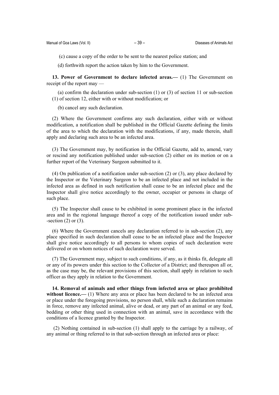(c) cause a copy of the order to be sent to the nearest police station; and

(d) forthwith report the action taken by him to the Government.

**13. Power of Government to declare infected areas.—** (1) The Government on receipt of the report may —

(a) confirm the declaration under sub-section (1) or (3) of section 11 or sub-section (1) of section 12, either with or without modification; or

(b) cancel any such declaration.

(2) Where the Government confirms any such declaration, either with or without modification, a notification shall be published in the Official Gazette defining the limits of the area to which the declaration with the modifications, if any, made therein, shall apply and declaring such area to be an infected area.

(3) The Government may, by notification in the Official Gazette, add to, amend, vary or rescind any notification published under sub-section (2) either on its motion or on a further report of the Veterinary Surgeon submitted to it.

(4) On publication of a notification under sub-section (2) or (3), any place declared by the Inspector or the Veterinary Surgeon to be an infected place and not included in the infected area as defined in such notification shall cease to be an infected place and the Inspector shall give notice accordingly to the owner, occupier or persons in charge of such place.

(5) The Inspector shall cause to be exhibited in some prominent place in the infected area and in the regional language thereof a copy of the notification issued under sub- -section  $(2)$  or  $(3)$ .

(6) Where the Government cancels any declaration referred to in sub-section (2), any place specified in such declaration shall cease to be an infected place and the Inspector shall give notice accordingly to all persons to whom copies of such declaration were delivered or on whom notices of such declaration were served.

(7) The Government may, subject to such conditions, if any, as it thinks fit, delegate all or any of its powers under this section to the Collector of a District; and thereupon all or, as the case may be, the relevant provisions of this section, shall apply in relation to such officer as they apply in relation to the Government.

**14. Removal of animals and other things from infected area or place prohibited without licence.**— (1) Where any area or place has been declared to be an infected area or place under the foregoing provisions, no person shall, while such a declaration remains in force, remove any infected animal, alive or dead, or any part of an animal or any feed, bedding or other thing used in connection with an animal, save in accordance with the conditions of a licence granted by the Inspector.

 (2) Nothing contained in sub-section (1) shall apply to the carriage by a railway, of any animal or thing referred to in that sub-section through an infected area or place: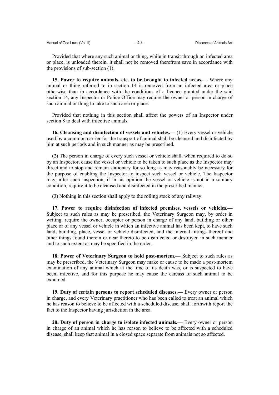| Manual of Goa Laws (Vol. II) |  |  |  |  |  |
|------------------------------|--|--|--|--|--|
|------------------------------|--|--|--|--|--|

Provided that where any such animal or thing, while in transit through an infected area or place, is unloaded therein, it shall not be removed therefrom save in accordance with the provisions of sub-section (1).

**15. Power to require animals, etc. to be brought to infected areas.—** Where any animal or thing referred to in section 14 is removed from an infected area or place otherwise than in accordance with the conditions of a licence granted under the said section 14, any Inspector or Police Office may require the owner or person in charge of such animal or thing to take to such area or place:

Provided that nothing in this section shall affect the powers of an Inspector under section 8 to deal with infective animals.

**16. Cleansing and disinfection of vessels and vehicles.—** (1) Every vessel or vehicle used by a common carrier for the transport of animal shall be cleansed and disinfected by him at such periods and in such manner as may be prescribed.

(2) The person in charge of every such vessel or vehicle shall, when required to do so by an Inspector, cause the vessel or vehicle to be taken to such place as the Inspector may direct and to stop and remain stationary for so long as may reasonably be necessary for the purpose of enabling the Inspector to inspect such vessel or vehicle. The Inspector may, after such inspection, if in his opinion the vessel or vehicle is not in a sanitary condition, require it to be cleansed and disinfected in the prescribed manner.

(3) Nothing in this section shall apply to the rolling stock of any railway.

**17. Power to require disinfection of infected premises, vessels or vehicles.—** Subject to such rules as may be prescribed, the Veterinary Surgeon may, by order in writing, require the owner, occupier or person in charge of any land, building or other place or of any vessel or vehicle in which an infective animal has been kept, to have such land, building, place, vessel or vehicle disinfected, and the internal fittings thereof and other things found therein or near thereto to be disinfected or destroyed in such manner and to such extent as may be specified in the order.

**18. Power of Veterinary Surgeon to hold post-mortem.—** Subject to such rules as may be prescribed, the Veterinary Surgeon may make or cause to be made a post-mortem examination of any animal which at the time of its death was, or is suspected to have been, infective, and for this purpose he may cause the carcass of such animal to be exhumed.

**19. Duty of certain persons to report scheduled diseases.—** Every owner or person in charge, and every Veterinary practitioner who has been called to treat an animal which he has reason to believe to be affected with a scheduled disease, shall forthwith report the fact to the Inspector having jurisdiction in the area.

**20. Duty of person in charge to isolate infected animals.—** Every owner or person in charge of an animal which he has reason to believe to be affected with a scheduled disease, shall keep that animal in a closed space separate from animals not so affected.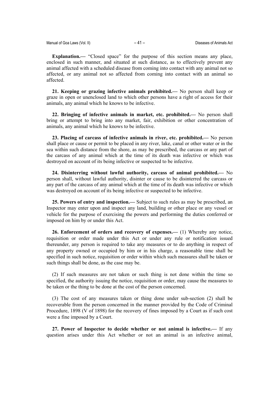**Explanation.—** "Closed space" for the purpose of this section means any place, enclosed in such manner, and situated at such distance, as to effectively prevent any animal affected with a scheduled disease from coming into contact with any animal not so affected, or any animal not so affected from coming into contact with an animal so affected.

**21. Keeping or grazing infective animals prohibited.—** No person shall keep or graze in open or unenclosed land to which other persons have a right of access for their animals, any animal which he knows to be infective.

**22. Bringing of infective animals in market, etc. prohibited.—** No person shall bring or attempt to bring into any market, fair, exhibition or other concentration of animals, any animal which he knows to be infective.

**23. Placing of carcass of infective animals in river, etc. prohibited.—** No person shall place or cause or permit to be placed in any river, lake, canal or other water or in the sea within such distance from the shore, as may be prescribed, the carcass or any part of the carcass of any animal which at the time of its death was infective or which was destroyed on account of its being infective or suspected to be infective.

**24. Disinterring without lawful authority, carcass of animal prohibited.—** No person shall, without lawful authority, disinter or cause to be disinterred the carcass or any part of the carcass of any animal which at the time of its death was infective or which was destroyed on account of its being infective or suspected to be infective.

**25. Powers of entry and inspection.—** Subject to such rules as may be prescribed, an Inspector may enter upon and inspect any land, building or other place or any vessel or vehicle for the purpose of exercising the powers and performing the duties conferred or imposed on him by or under this Act.

**26. Enforcement of orders and recovery of expenses.—** (1) Whereby any notice, requisition or order made under this Act or under any rule or notification issued thereunder, any person is required to take any measures or to do anything in respect of any property owned or occupied by him or in his charge, a reasonable time shall be specified in such notice, requisition or order within which such measures shall be taken or such things shall be done, as the case may be.

(2) If such measures are not taken or such thing is not done within the time so specified, the authority issuing the notice, requisition or order, may cause the measures to be taken or the thing to be done at the cost of the person concerned.

(3) The cost of any measures taken or thing done under sub-section (2) shall be recoverable from the person concerned in the manner provided by the Code of Criminal Procedure, 1898 (V of 1898) for the recovery of fines imposed by a Court as if such cost were a fine imposed by a Court.

**27. Power of Inspector to decide whether or not animal is infective.—** If any question arises under this Act whether or not an animal is an infective animal,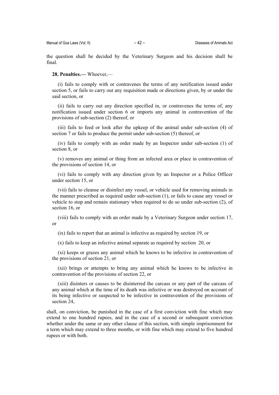the question shall be decided by the Veterinary Surgeon and his decision shall be final.

# **28. Penalties.—** Whoever,—

(i) fails to comply with or contravenes the terms of any notification issued under section 5, or fails to carry out any requisition made or directions given, by or under the said section, or

(ii) fails to carry out any direction specified in, or contravenes the terms of, any notification issued under section 6 or imports any animal in contravention of the provisions of sub-section (2) thereof, or

(iii) fails to feed or look after the upkeep of the animal under sub-section (4) of section 7 or fails to produce the permit under sub-section (5) thereof, or

(iv) fails to comply with an order made by an Inspector under sub-section (1) of section 8, or

(v) removes any animal or thing from an infected area or place in contravention of the provisions of section 14, or

(vi) fails to comply with any direction given by an Inspector or a Police Officer under section 15, or

(vii) fails to cleanse or disinfect any vessel, or vehicle used for removing animals in the manner prescribed as required under sub-section (1), or fails to cause any vessel or vehicle to stop and remain stationary when required to do so under sub-section (2), of section 16, or

(viii) fails to comply with an order made by a Veterinary Surgeon under section 17, or

(ix) fails to report that an animal is infective as required by section 19, or

(x) fails to keep an infective animal separate as required by section 20, or

(xi) keeps or grazes any animal which he knows to be infective in contravention of the provisions of section 21, or

(xii) brings or attempts to bring any animal which he knows to be infective in contravention of the provisions of section 22, or

(xiii) disinters or causes to be disinterred the carcass or any part of the carcass of any animal which at the time of its death was infective or was destroyed on account of its being infective or suspected to be infective in contravention of the provisions of section 24,

shall, on conviction, be punished in the case of a first conviction with fine which may extend to one hundred rupees, and in the case of a second or subsequent conviction whether under the same or any other clause of this section, with simple imprisonment for a term which may extend to three months, or with fine which may extend to five hundred rupees or with both.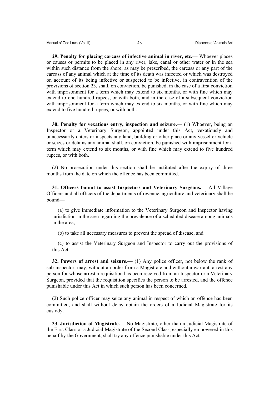**29. Penalty for placing carcass of infective animal in river, etc.—** Whoever places or causes or permits to be placed in any river, lake, canal or other water or in the sea within such distance from the shore, as may be prescribed, the carcass or any part of the carcass of any animal which at the time of its death was infected or which was destroyed on account of its being infective or suspected to be infective, in contravention of the provisions of section 23, shall, on conviction, be punished, in the case of a first conviction with imprisonment for a term which may extend to six months, or with fine which may extend to one hundred rupees, or with both, and in the case of a subsequent conviction with imprisonment for a term which may extend to six months, or with fine which may extend to five hundred rupees, or with both.

**30. Penalty for vexatious entry, inspection and seizure.—** (1) Whoever, being an Inspector or a Veterinary Surgeon, appointed under this Act, vexatiously and unnecessarily enters or inspects any land, building or other place or any vessel or vehicle or seizes or detains any animal shall, on conviction, be punished with imprisonment for a term which may extend to six months, or with fine which may extend to five hundred rupees, or with both.

(2) No prosecution under this section shall be instituted after the expiry of three months from the date on which the offence has been committed.

**31. Officers bound to assist Inspectors and Veterinary Surgeons.—** All Village Officers and all officers of the departments of revenue, agriculture and veterinary shall be bound**—**

(a) to give immediate information to the Veterinary Surgeon and Inspector having jurisdiction in the area regarding the prevalence of a scheduled disease among animals in the area,

(b) to take all necessary measures to prevent the spread of disease, and

(c) to assist the Veterinary Surgeon and Inspector to carry out the provisions of this Act.

**32. Powers of arrest and seizure.—** (1) Any police officer, not below the rank of sub-inspector, may, without an order from a Magistrate and without a warrant, arrest any person for whose arrest a requisition has been received from an Inspector or a Veterinary Surgeon, provided that the requisition specifies the person to be arrested, and the offence punishable under this Act in which such person has been concerned.

(2) Such police officer may seize any animal in respect of which an offence has been committed, and shall without delay obtain the orders of a Judicial Magistrate for its custody.

**33. Jurisdiction of Magistrate.—** No Magistrate, other than a Judicial Magistrate of the First Class or a Judicial Magistrate of the Second Class, especially empowered in this behalf by the Government, shall try any offence punishable under this Act.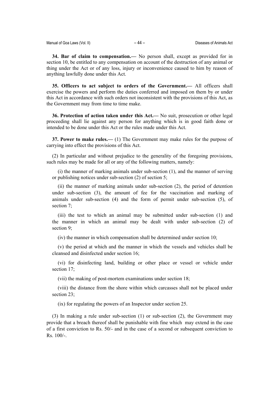**34. Bar of claim to compensation.—** No person shall, except as provided for in section 10, be entitled to any compensation on account of the destruction of any animal or thing under the Act or of any loss, injury or inconvenience caused to him by reason of anything lawfully done under this Act.

**35. Officers to act subject to orders of the Government.—** All officers shall exercise the powers and perform the duties conferred and imposed on them by or under this Act in accordance with such orders not inconsistent with the provisions of this Act, as the Government may from time to time make.

**36. Protection of action taken under this Act.—** No suit, prosecution or other legal proceeding shall lie against any person for anything which is in good faith done or intended to be done under this Act or the rules made under this Act.

**37. Power to make rules.—** (1) The Government may make rules for the purpose of carrying into effect the provisions of this Act.

(2) In particular and without prejudice to the generality of the foregoing provisions, such rules may be made for all or any of the following matters, namely:

(i) the manner of marking animals under sub-section (1), and the manner of serving or publishing notices under sub-section (2) of section 5;

(ii) the manner of marking animals under sub-section (2), the period of detention under sub-section (3), the amount of fee for the vaccination and marking of animals under sub-section (4) and the form of permit under sub-section (5), of section 7;

(iii) the test to which an animal may be submitted under sub-section (1) and the manner in which an animal may be dealt with under sub-section (2) of section 9;

(iv) the manner in which compensation shall be determined under section 10;

(v) the period at which and the manner in which the vessels and vehicles shall be cleansed and disinfected under section 16;

(vi) for disinfecting land, building or other place or vessel or vehicle under section 17;

(vii) the making of post-mortem examinations under section 18;

(viii) the distance from the shore within which carcasses shall not be placed under section 23;

(ix) for regulating the powers of an Inspector under section 25.

(3) In making a rule under sub-section (1) or sub-section (2), the Government may provide that a breach thereof shall be punishable with fine which may extend in the case of a first conviction to Rs. 50/- and in the case of a second or subsequent conviction to Rs. 100/-.